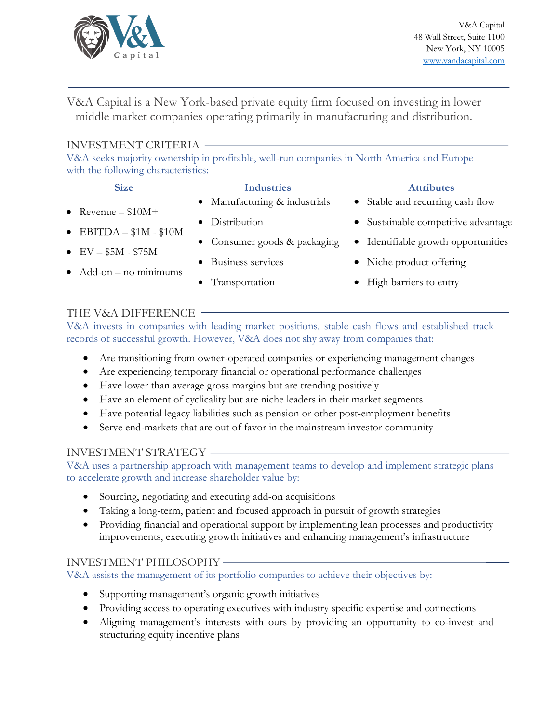

V&A Capital is a New York-based private equity firm focused on investing in lower middle market companies operating primarily in manufacturing and distribution.

### INVESTMENT CRITERIA

V&A seeks majority ownership in profitable, well-run companies in North America and Europe with the following characteristics:

- Revenue  $$10M+$
- EBITDA  $-$  \$1M \$10M
- $EV $5M $75M$
- $\bullet$  Add-on no minimums
- **Size Industries Attributes**
	- Manufacturing & industrials
	- Distribution
	- Consumer goods & packaging
	- Business services
	- Transportation

- Stable and recurring cash flow
- Sustainable competitive advantage
- Identifiable growth opportunities
- Niche product offering
- High barriers to entry

# THE V&A DIFFERENCE

V&A invests in companies with leading market positions, stable cash flows and established track records of successful growth. However, V&A does not shy away from companies that:

- Are transitioning from owner-operated companies or experiencing management changes
- Are experiencing temporary financial or operational performance challenges
- Have lower than average gross margins but are trending positively
- Have an element of cyclicality but are niche leaders in their market segments
- Have potential legacy liabilities such as pension or other post-employment benefits
- Serve end-markets that are out of favor in the mainstream investor community

## INVESTMENT STRATEGY

V&A uses a partnership approach with management teams to develop and implement strategic plans to accelerate growth and increase shareholder value by:

- Sourcing, negotiating and executing add-on acquisitions
- Taking a long-term, patient and focused approach in pursuit of growth strategies
- Providing financial and operational support by implementing lean processes and productivity improvements, executing growth initiatives and enhancing management's infrastructure

## INVESTMENT PHILOSOPHY

V&A assists the management of its portfolio companies to achieve their objectives by:

- Supporting management's organic growth initiatives
- Providing access to operating executives with industry specific expertise and connections
- Aligning management's interests with ours by providing an opportunity to co-invest and structuring equity incentive plans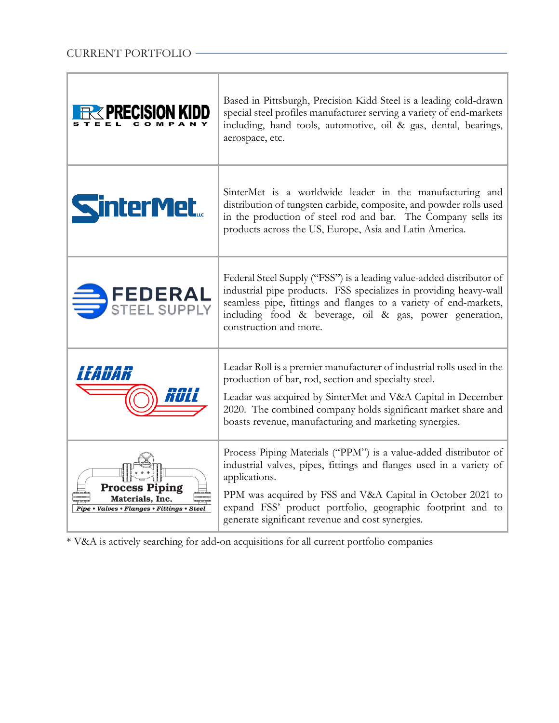Ė

|                                                                                 | Based in Pittsburgh, Precision Kidd Steel is a leading cold-drawn<br>special steel profiles manufacturer serving a variety of end-markets<br>including, hand tools, automotive, oil & gas, dental, bearings,<br>aerospace, etc.                                                                                                          |
|---------------------------------------------------------------------------------|------------------------------------------------------------------------------------------------------------------------------------------------------------------------------------------------------------------------------------------------------------------------------------------------------------------------------------------|
| <b>SinterMet</b>                                                                | SinterMet is a worldwide leader in the manufacturing and<br>distribution of tungsten carbide, composite, and powder rolls used<br>in the production of steel rod and bar. The Company sells its<br>products across the US, Europe, Asia and Latin America.                                                                               |
| FEDERAL<br>STEEL SUPPLY                                                         | Federal Steel Supply ("FSS") is a leading value-added distributor of<br>industrial pipe products. FSS specializes in providing heavy-wall<br>seamless pipe, fittings and flanges to a variety of end-markets,<br>including food & beverage, oil & gas, power generation,<br>construction and more.                                       |
|                                                                                 | Leadar Roll is a premier manufacturer of industrial rolls used in the<br>production of bar, rod, section and specialty steel.<br>Leadar was acquired by SinterMet and V&A Capital in December<br>2020. The combined company holds significant market share and<br>boasts revenue, manufacturing and marketing synergies.                 |
| Process Piping<br>Materials, Inc.<br>Pipe • Valves • Flanges • Fittings • Steel | Process Piping Materials ("PPM") is a value-added distributor of<br>industrial valves, pipes, fittings and flanges used in a variety of<br>applications.<br>PPM was acquired by FSS and V&A Capital in October 2021 to<br>expand FSS' product portfolio, geographic footprint and to<br>generate significant revenue and cost synergies. |

<u> 1989 - Johann John Stone, meil in der Stone aus der Stone aus der Stone aus der Stone aus der Stone anderen S</u>

\* V&A is actively searching for add-on acquisitions for all current portfolio companies